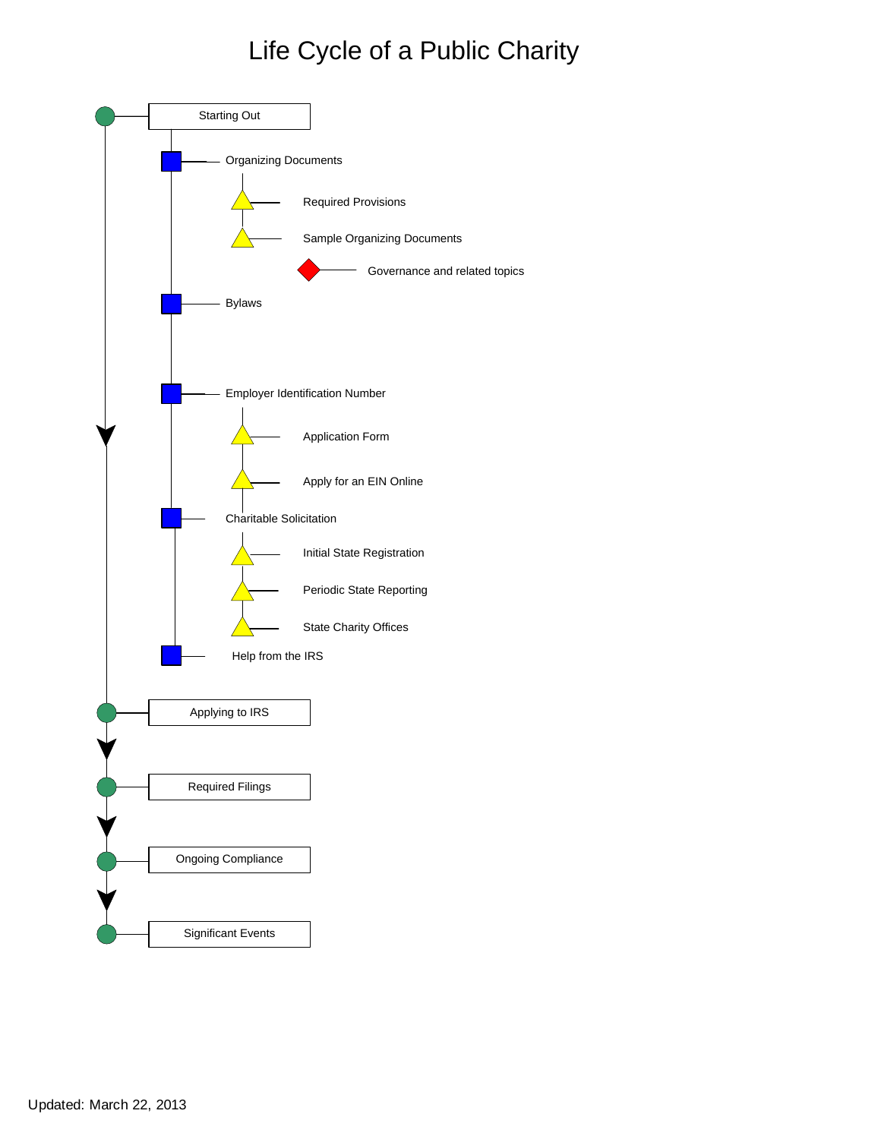# [Life Cycle of a Public Charity](http://www.irs.gov/charities/charitable/article/0,,id=122670,00.html)

<span id="page-0-1"></span><span id="page-0-0"></span>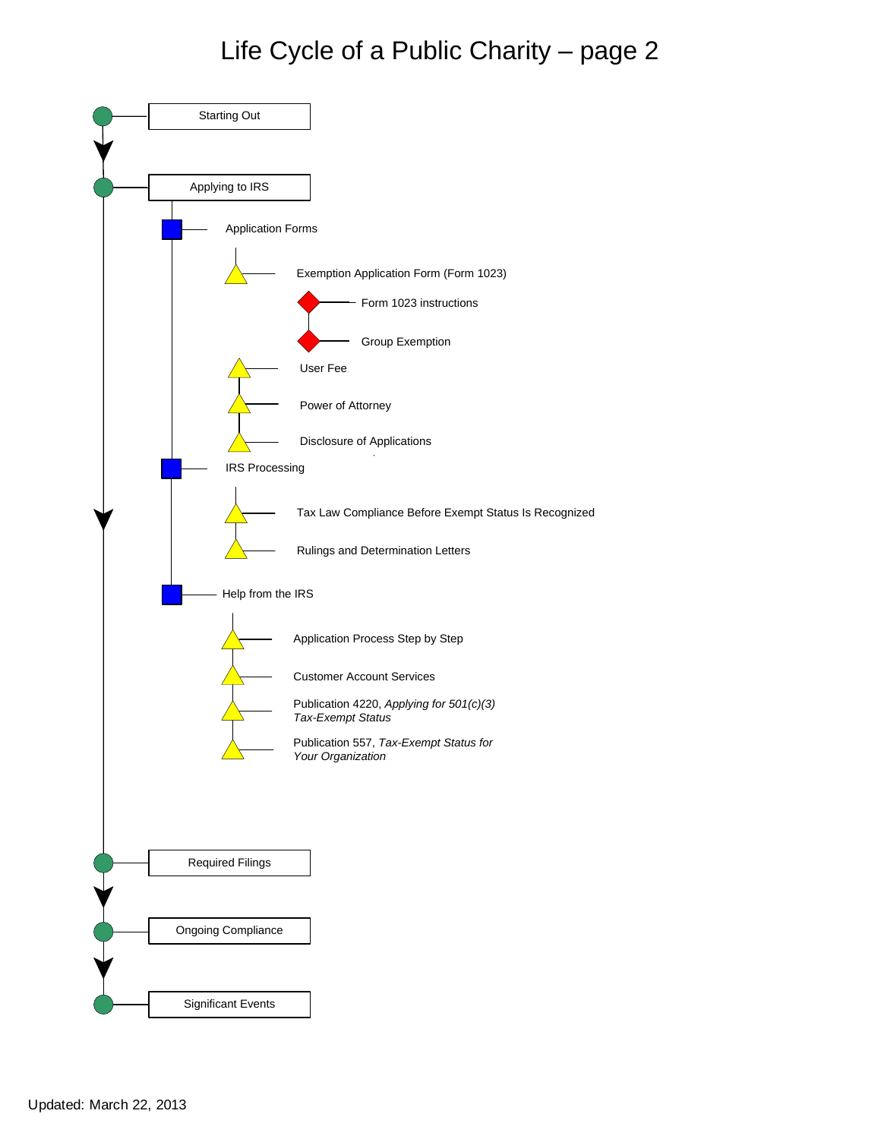<span id="page-1-1"></span><span id="page-1-0"></span>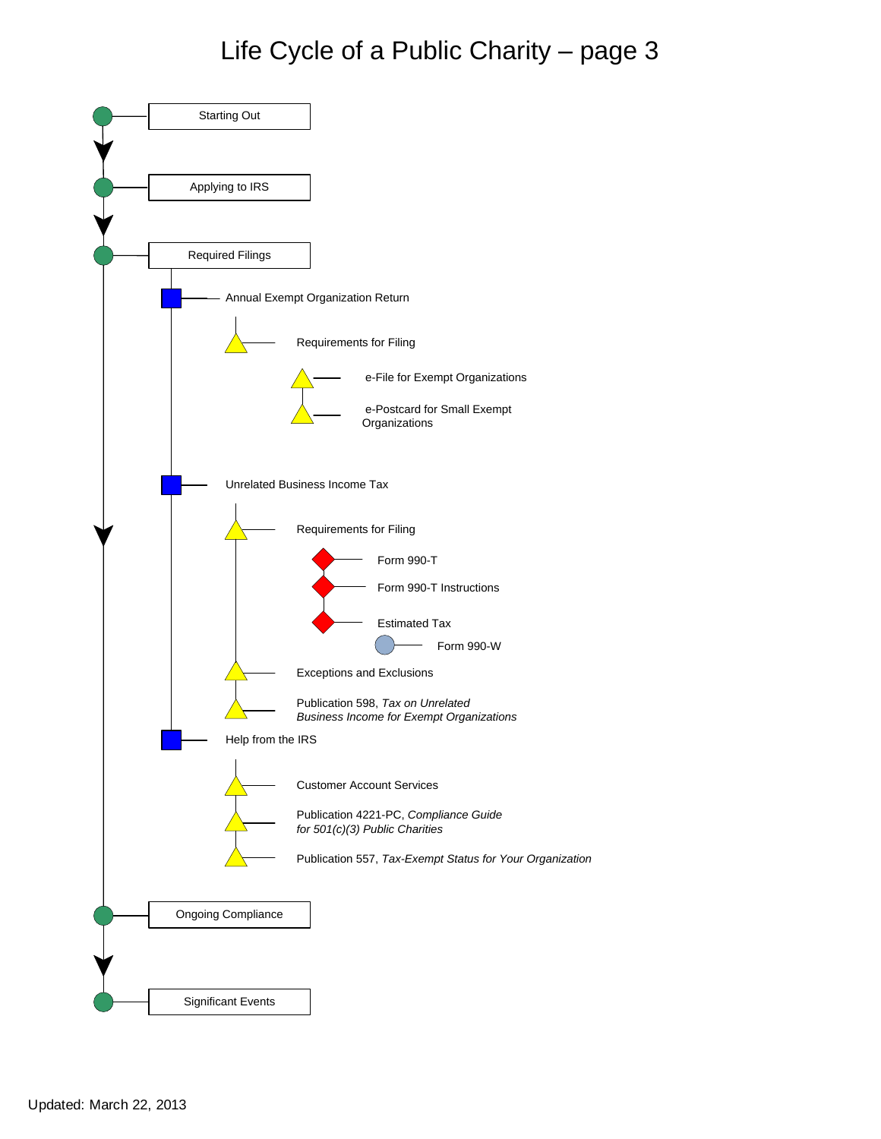<span id="page-2-1"></span><span id="page-2-0"></span>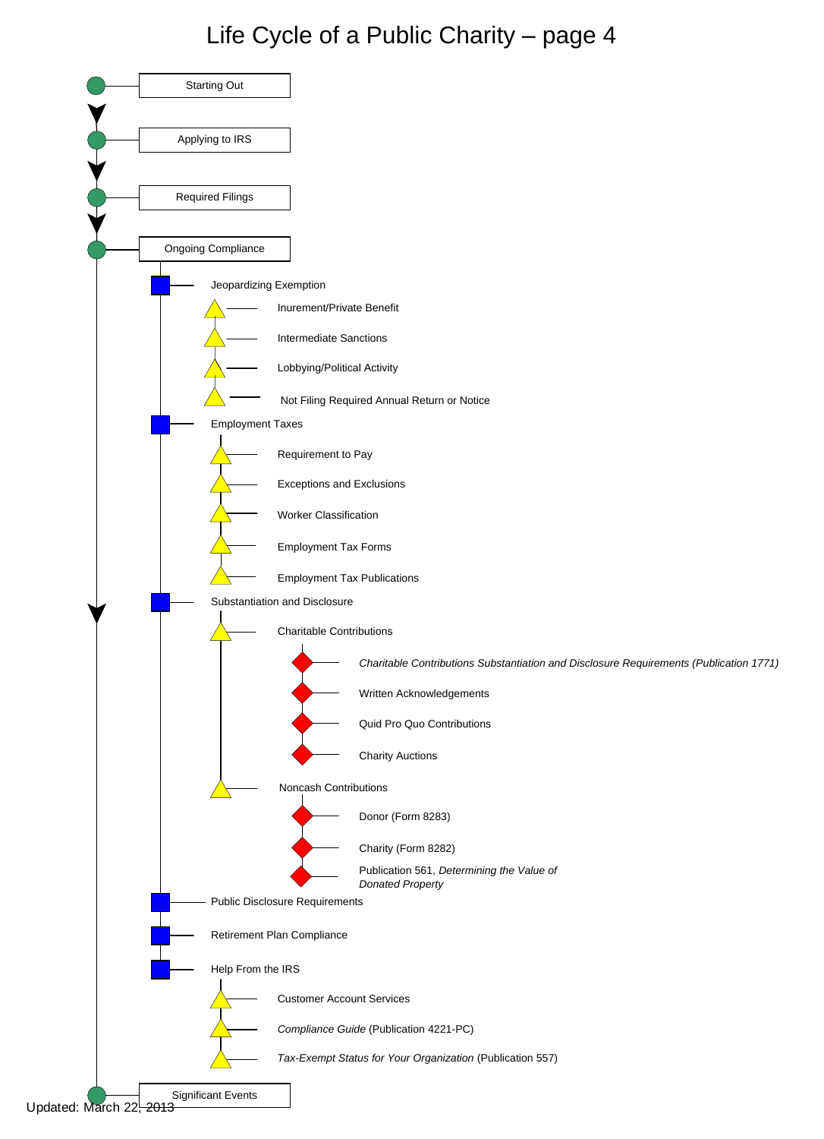<span id="page-3-0"></span>